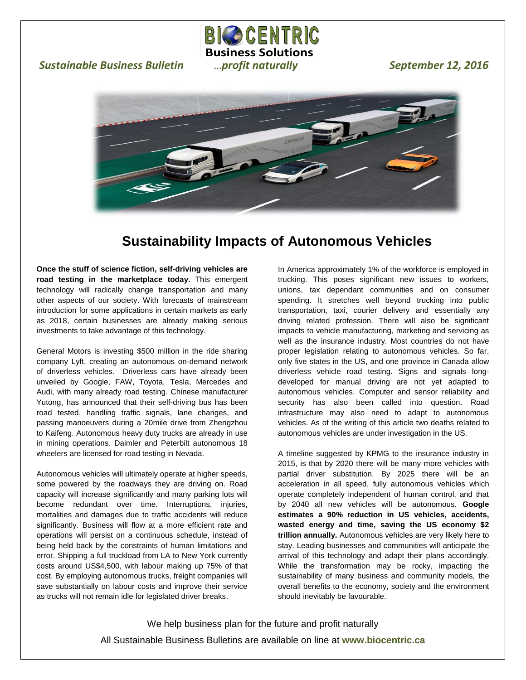## *Sustainable Business Bulletin metheric maturally September 12, 2016*





 $\overline{a}$ 

**BICO CENTRIC Business Solutions**

## **Sustainability Impacts of Autonomous Vehicles**

**Once the stuff of science fiction, self-driving vehicles are road testing in the marketplace today.** This emergent technology will radically change transportation and many other aspects of our society. With forecasts of mainstream introduction for some applications in certain markets as early as 2018, certain businesses are already making serious investments to take advantage of this technology.

General Motors is investing \$500 million in the ride sharing company Lyft, creating an autonomous on-demand network of driverless vehicles. Driverless cars have already been unveiled by Google, FAW, Toyota, Tesla, Mercedes and Audi, with many already road testing. Chinese manufacturer Yutong, has announced that their self-driving bus has been road tested, handling traffic signals, lane changes, and passing manoeuvers during a 20mile drive from Zhengzhou to Kaifeng. Autonomous heavy duty trucks are already in use in mining operations. Daimler and Peterbilt autonomous 18 wheelers are licensed for road testing in Nevada.

Autonomous vehicles will ultimately operate at higher speeds, some powered by the roadways they are driving on. Road capacity will increase significantly and many parking lots will become redundant over time. Interruptions, injuries, mortalities and damages due to traffic accidents will reduce significantly. Business will flow at a more efficient rate and operations will persist on a continuous schedule, instead of being held back by the constraints of human limitations and error. Shipping a full truckload from LA to New York currently costs around US\$4,500, with labour making up 75% of that cost. By employing autonomous trucks, freight companies will save substantially on labour costs and improve their service as trucks will not remain idle for legislated driver breaks.

In America approximately 1% of the workforce is employed in trucking. This poses significant new issues to workers, unions, tax dependant communities and on consumer spending. It stretches well beyond trucking into public transportation, taxi, courier delivery and essentially any driving related profession. There will also be significant impacts to vehicle manufacturing, marketing and servicing as well as the insurance industry. Most countries do not have proper legislation relating to autonomous vehicles. So far, only five states in the US, and one province in Canada allow driverless vehicle road testing. Signs and signals longdeveloped for manual driving are not yet adapted to autonomous vehicles. Computer and sensor reliability and security has also been called into question. Road infrastructure may also need to adapt to autonomous vehicles. As of the writing of this article two deaths related to autonomous vehicles are under investigation in the US.

A timeline suggested by KPMG to the insurance industry in 2015, is that by 2020 there will be many more vehicles with partial driver substitution. By 2025 there will be an acceleration in all speed, fully autonomous vehicles which operate completely independent of human control, and that by 2040 all new vehicles will be autonomous. **Google estimates a 90% reduction in US vehicles, accidents, wasted energy and time, saving the US economy \$2 trillion annually.** Autonomous vehicles are very likely here to stay. Leading businesses and communities will anticipate the arrival of this technology and adapt their plans accordingly. While the transformation may be rocky, impacting the sustainability of many business and community models, the overall benefits to the economy, society and the environment should inevitably be favourable.

We help business plan for the future and profit naturally All Sustainable Business Bulletins are available on line at **www.biocentric.ca**